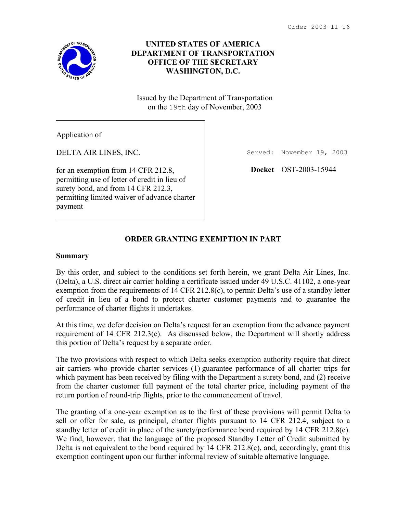

## **UNITED STATES OF AMERICA DEPARTMENT OF TRANSPORTATION OFFICE OF THE SECRETARY WASHINGTON, D.C.**

Issued by the Department of Transportation on the 19th day of November, 2003

Application of

DELTA AIR LINES, INC.

for an exemption from 14 CFR 212.8, permitting use of letter of credit in lieu of surety bond, and from 14 CFR 212.3, permitting limited waiver of advance charter payment

Served: November 19, 2003

**Docket** OST-2003-15944

# **ORDER GRANTING EXEMPTION IN PART**

#### **Summary**

By this order, and subject to the conditions set forth herein, we grant Delta Air Lines, Inc. (Delta), a U.S. direct air carrier holding a certificate issued under 49 U.S.C. 41102, a one-year exemption from the requirements of 14 CFR 212.8(c), to permit Delta's use of a standby letter of credit in lieu of a bond to protect charter customer payments and to guarantee the performance of charter flights it undertakes.

At this time, we defer decision on Delta's request for an exemption from the advance payment requirement of 14 CFR 212.3(e). As discussed below, the Department will shortly address this portion of Delta's request by a separate order.

The two provisions with respect to which Delta seeks exemption authority require that direct air carriers who provide charter services (1) guarantee performance of all charter trips for which payment has been received by filing with the Department a surety bond, and (2) receive from the charter customer full payment of the total charter price, including payment of the return portion of round-trip flights, prior to the commencement of travel.

The granting of a one-year exemption as to the first of these provisions will permit Delta to sell or offer for sale, as principal, charter flights pursuant to 14 CFR 212.4, subject to a standby letter of credit in place of the surety/performance bond required by 14 CFR 212.8(c). We find, however, that the language of the proposed Standby Letter of Credit submitted by Delta is not equivalent to the bond required by 14 CFR 212.8(c), and, accordingly, grant this exemption contingent upon our further informal review of suitable alternative language.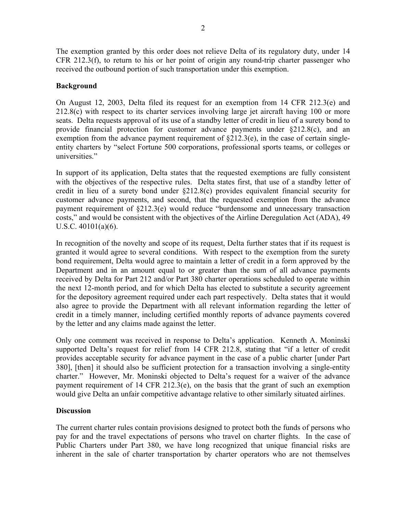The exemption granted by this order does not relieve Delta of its regulatory duty, under 14 CFR 212.3(f), to return to his or her point of origin any round-trip charter passenger who received the outbound portion of such transportation under this exemption.

### **Background**

On August 12, 2003, Delta filed its request for an exemption from 14 CFR 212.3(e) and 212.8(c) with respect to its charter services involving large jet aircraft having 100 or more seats. Delta requests approval of its use of a standby letter of credit in lieu of a surety bond to provide financial protection for customer advance payments under §212.8(c), and an exemption from the advance payment requirement of §212.3(e), in the case of certain singleentity charters by "select Fortune 500 corporations, professional sports teams, or colleges or universities."

In support of its application, Delta states that the requested exemptions are fully consistent with the objectives of the respective rules. Delta states first, that use of a standby letter of credit in lieu of a surety bond under §212.8(c) provides equivalent financial security for customer advance payments, and second, that the requested exemption from the advance payment requirement of §212.3(e) would reduce "burdensome and unnecessary transaction costs," and would be consistent with the objectives of the Airline Deregulation Act (ADA), 49 U.S.C. 40101(a)(6).

In recognition of the novelty and scope of its request, Delta further states that if its request is granted it would agree to several conditions. With respect to the exemption from the surety bond requirement, Delta would agree to maintain a letter of credit in a form approved by the Department and in an amount equal to or greater than the sum of all advance payments received by Delta for Part 212 and/or Part 380 charter operations scheduled to operate within the next 12-month period, and for which Delta has elected to substitute a security agreement for the depository agreement required under each part respectively. Delta states that it would also agree to provide the Department with all relevant information regarding the letter of credit in a timely manner, including certified monthly reports of advance payments covered by the letter and any claims made against the letter.

Only one comment was received in response to Delta's application. Kenneth A. Moninski supported Delta's request for relief from 14 CFR 212.8, stating that "if a letter of credit provides acceptable security for advance payment in the case of a public charter [under Part 380], [then] it should also be sufficient protection for a transaction involving a single-entity charter." However, Mr. Moninski objected to Delta's request for a waiver of the advance payment requirement of 14 CFR 212.3(e), on the basis that the grant of such an exemption would give Delta an unfair competitive advantage relative to other similarly situated airlines.

### **Discussion**

The current charter rules contain provisions designed to protect both the funds of persons who pay for and the travel expectations of persons who travel on charter flights. In the case of Public Charters under Part 380, we have long recognized that unique financial risks are inherent in the sale of charter transportation by charter operators who are not themselves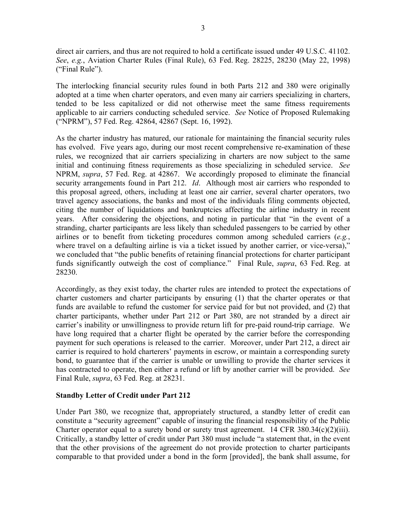direct air carriers, and thus are not required to hold a certificate issued under 49 U.S.C. 41102. *See*, *e.g.*, Aviation Charter Rules (Final Rule), 63 Fed. Reg. 28225, 28230 (May 22, 1998) ("Final Rule").

The interlocking financial security rules found in both Parts 212 and 380 were originally adopted at a time when charter operators, and even many air carriers specializing in charters, tended to be less capitalized or did not otherwise meet the same fitness requirements applicable to air carriers conducting scheduled service. *See* Notice of Proposed Rulemaking ("NPRM"), 57 Fed. Reg. 42864, 42867 (Sept. 16, 1992).

As the charter industry has matured, our rationale for maintaining the financial security rules has evolved. Five years ago, during our most recent comprehensive re-examination of these rules, we recognized that air carriers specializing in charters are now subject to the same initial and continuing fitness requirements as those specializing in scheduled service. *See* NPRM, *supra*, 57 Fed. Reg. at 42867. We accordingly proposed to eliminate the financial security arrangements found in Part 212. *Id*. Although most air carriers who responded to this proposal agreed, others, including at least one air carrier, several charter operators, two travel agency associations, the banks and most of the individuals filing comments objected, citing the number of liquidations and bankruptcies affecting the airline industry in recent years. After considering the objections, and noting in particular that "in the event of a stranding, charter participants are less likely than scheduled passengers to be carried by other airlines or to benefit from ticketing procedures common among scheduled carriers (*e.g.*, where travel on a defaulting airline is via a ticket issued by another carrier, or vice-versa)," we concluded that "the public benefits of retaining financial protections for charter participant funds significantly outweigh the cost of compliance." Final Rule, *supra*, 63 Fed. Reg. at 28230.

Accordingly, as they exist today, the charter rules are intended to protect the expectations of charter customers and charter participants by ensuring (1) that the charter operates or that funds are available to refund the customer for service paid for but not provided, and (2) that charter participants, whether under Part 212 or Part 380, are not stranded by a direct air carrier's inability or unwillingness to provide return lift for pre-paid round-trip carriage. We have long required that a charter flight be operated by the carrier before the corresponding payment for such operations is released to the carrier. Moreover, under Part 212, a direct air carrier is required to hold charterers' payments in escrow, or maintain a corresponding surety bond, to guarantee that if the carrier is unable or unwilling to provide the charter services it has contracted to operate, then either a refund or lift by another carrier will be provided. *See* Final Rule, *supra*, 63 Fed. Reg. at 28231.

### **Standby Letter of Credit under Part 212**

Under Part 380, we recognize that, appropriately structured, a standby letter of credit can constitute a "security agreement" capable of insuring the financial responsibility of the Public Charter operator equal to a surety bond or surety trust agreement. 14 CFR  $380.34(c)(2)(iii)$ . Critically, a standby letter of credit under Part 380 must include "a statement that, in the event that the other provisions of the agreement do not provide protection to charter participants comparable to that provided under a bond in the form [provided], the bank shall assume, for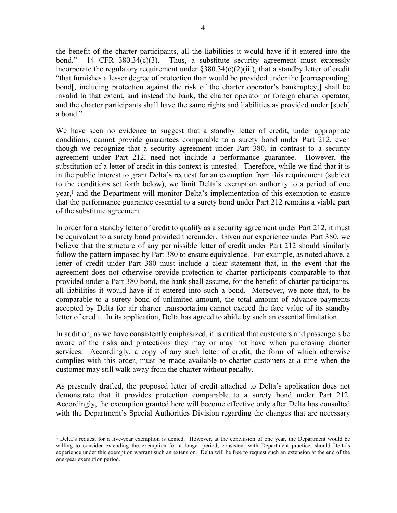the benefit of the charter participants, all the liabilities it would have if it entered into the bond." 14 CFR 380.34(c)(3). Thus, a substitute security agreement must expressly incorporate the regulatory requirement under §380.34(c)(2)(iii), that a standby letter of credit "that furnishes a lesser degree of protection than would be provided under the [corresponding] bond[, including protection against the risk of the charter operator's bankruptcy,] shall be invalid to that extent, and instead the bank, the charter operator or foreign charter operator, and the charter participants shall have the same rights and liabilities as provided under [such] a bond."

We have seen no evidence to suggest that a standby letter of credit, under appropriate conditions, cannot provide guarantees comparable to a surety bond under Part 212, even though we recognize that a security agreement under Part 380, in contrast to a security agreement under Part 212, need not include a performance guarantee. However, the substitution of a letter of credit in this context is untested. Therefore, while we find that it is in the public interest to grant Delta's request for an exemption from this requirement (subject to the conditions set forth below), we limit Delta's exemption authority to a period of one year,1 and the Department will monitor Delta's implementation of this exemption to ensure that the performance guarantee essential to a surety bond under Part 212 remains a viable part of the substitute agreement.

In order for a standby letter of credit to qualify as a security agreement under Part 212, it must be equivalent to a surety bond provided thereunder. Given our experience under Part 380, we believe that the structure of any permissible letter of credit under Part 212 should similarly follow the pattern imposed by Part 380 to ensure equivalence. For example, as noted above, a letter of credit under Part 380 must include a clear statement that, in the event that the agreement does not otherwise provide protection to charter participants comparable to that provided under a Part 380 bond, the bank shall assume, for the benefit of charter participants, all liabilities it would have if it entered into such a bond. Moreover, we note that, to be comparable to a surety bond of unlimited amount, the total amount of advance payments accepted by Delta for air charter transportation cannot exceed the face value of its standby letter of credit. In its application, Delta has agreed to abide by such an essential limitation.

In addition, as we have consistently emphasized, it is critical that customers and passengers be aware of the risks and protections they may or may not have when purchasing charter services. Accordingly, a copy of any such letter of credit, the form of which otherwise complies with this order, must be made available to charter customers at a time when the customer may still walk away from the charter without penalty.

As presently drafted, the proposed letter of credit attached to Delta's application does not demonstrate that it provides protection comparable to a surety bond under Part 212. Accordingly, the exemption granted here will become effective only after Delta has consulted with the Department's Special Authorities Division regarding the changes that are necessary

 $\overline{a}$ 

<sup>&</sup>lt;sup>1</sup> Delta's request for a five-year exemption is denied. However, at the conclusion of one year, the Department would be willing to consider extending the exemption for a longer period, consistent with Department practice, should Delta's experience under this exemption warrant such an extension. Delta will be free to request such an extension at the end of the one-year exemption period.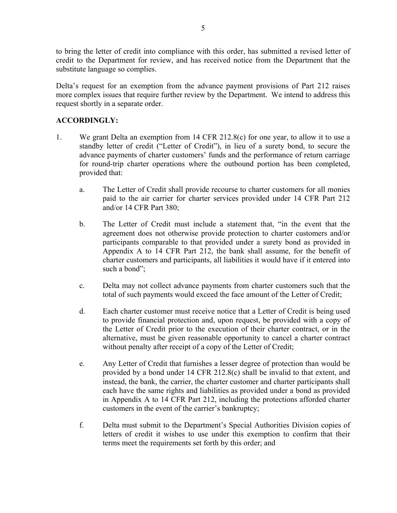to bring the letter of credit into compliance with this order, has submitted a revised letter of credit to the Department for review, and has received notice from the Department that the substitute language so complies.

Delta's request for an exemption from the advance payment provisions of Part 212 raises more complex issues that require further review by the Department. We intend to address this request shortly in a separate order.

### **ACCORDINGLY:**

- 1. We grant Delta an exemption from 14 CFR 212.8(c) for one year, to allow it to use a standby letter of credit ("Letter of Credit"), in lieu of a surety bond, to secure the advance payments of charter customers' funds and the performance of return carriage for round-trip charter operations where the outbound portion has been completed, provided that:
	- a. The Letter of Credit shall provide recourse to charter customers for all monies paid to the air carrier for charter services provided under 14 CFR Part 212 and/or 14 CFR Part 380;
	- b. The Letter of Credit must include a statement that, "in the event that the agreement does not otherwise provide protection to charter customers and/or participants comparable to that provided under a surety bond as provided in Appendix A to 14 CFR Part 212, the bank shall assume, for the benefit of charter customers and participants, all liabilities it would have if it entered into such a bond";
	- c. Delta may not collect advance payments from charter customers such that the total of such payments would exceed the face amount of the Letter of Credit;
	- d. Each charter customer must receive notice that a Letter of Credit is being used to provide financial protection and, upon request, be provided with a copy of the Letter of Credit prior to the execution of their charter contract, or in the alternative, must be given reasonable opportunity to cancel a charter contract without penalty after receipt of a copy of the Letter of Credit;
	- e. Any Letter of Credit that furnishes a lesser degree of protection than would be provided by a bond under 14 CFR 212.8(c) shall be invalid to that extent, and instead, the bank, the carrier, the charter customer and charter participants shall each have the same rights and liabilities as provided under a bond as provided in Appendix A to 14 CFR Part 212, including the protections afforded charter customers in the event of the carrier's bankruptcy;
	- f. Delta must submit to the Department's Special Authorities Division copies of letters of credit it wishes to use under this exemption to confirm that their terms meet the requirements set forth by this order; and